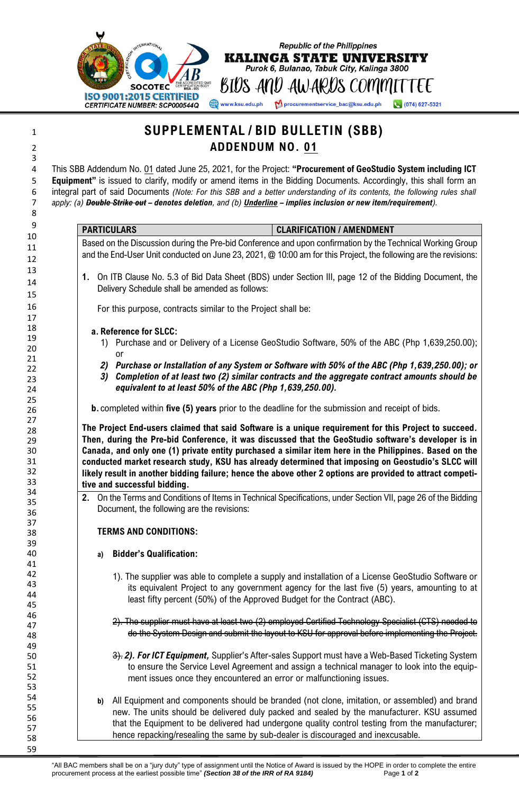

## **SUPPLEMENTAL / BID BULLETIN (SBB) ADDENDUM NO. 01** This SBB Addendum No. 01 dated June 25, 2021, for the Project: **"Procurement of GeoStudio System including ICT Equipment"** is issued to clarify, modify or amend items in the Bidding Documents. Accordingly, this shall form an integral part of said Documents *(Note: For this SBB and a better understanding of its contents, the following rules shall apply: (a) Double Strike out – denotes deletion, and (b) Underline – implies inclusion or new item/requirement).* **PARTICULARS CLARIFICATION / AMENDMENT** Based on the Discussion during the Pre-bid Conference and upon confirmation by the Technical Working Group and the End-User Unit conducted on June 23, 2021, @ 10:00 am for this Project, the following are the revisions: **1.** On ITB Clause No. 5.3 of Bid Data Sheet (BDS) under Section III, page 12 of the Bidding Document, the Delivery Schedule shall be amended as follows: For this purpose, contracts similar to the Project shall be: **a. Reference for SLCC:** 1) Purchase and or Delivery of a License GeoStudio Software, 50% of the ABC (Php 1,639,250.00); or *2) Purchase or Installation of any System or Software with 50% of the ABC (Php 1,639,250.00); or 3) Completion of at least two (2) similar contracts and the aggregate contract amounts should be equivalent to at least 50% of the ABC (Php 1,639,250.00).* **b.** completed within **five (5) years** prior to the deadline for the submission and receipt of bids. **The Project End-users claimed that said Software is a unique requirement for this Project to succeed. Then, during the Pre-bid Conference, it was discussed that the GeoStudio software's developer is in Canada, and only one (1) private entity purchased a similar item here in the Philippines. Based on the conducted market research study, KSU has already determined that imposing on Geostudio's SLCC will likely result in another bidding failure; hence the above other 2 options are provided to attract competitive and successful bidding. 2.** On the Terms and Conditions of Items in Technical Specifications, under Section VII, page 26 of the Bidding Document, the following are the revisions: **TERMS AND CONDITIONS: a) Bidder's Qualification:** 1). The supplier was able to complete a supply and installation of a License GeoStudio Software or its equivalent Project to any government agency for the last five (5) years, amounting to at least fifty percent (50%) of the Approved Budget for the Contract (ABC). 2). The supplier must have at least two (2) employed Certified Technology Specialist (CTS) needed to do the System Design and submit the layout to KSU for approval before implementing the Project. 3). *2). For ICT Equipment,* Supplier's After-sales Support must have a Web-Based Ticketing System to ensure the Service Level Agreement and assign a technical manager to look into the equipment issues once they encountered an error or malfunctioning issues. **b)** All Equipment and components should be branded (not clone, imitation, or assembled) and brand new. The units should be delivered duly packed and sealed by the manufacturer. KSU assumed that the Equipment to be delivered had undergone quality control testing from the manufacturer; hence repacking/resealing the same by sub-dealer is discouraged and inexcusable.